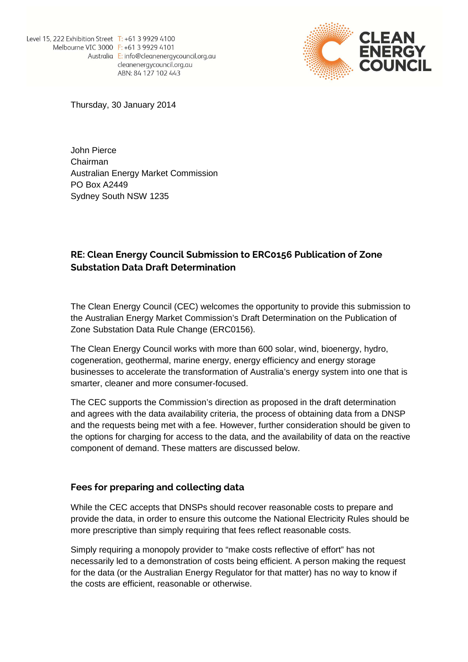

Thursday, 30 January 2014

John Pierce Chairman Australian Energy Market Commission PO Box A2449 Sydney South NSW 1235

## **RE: Clean Energy Council Submission to ERC0156 Publication of Zone Substation Data Draft Determination**

The Clean Energy Council (CEC) welcomes the opportunity to provide this submission to the Australian Energy Market Commission's Draft Determination on the Publication of Zone Substation Data Rule Change (ERC0156).

The Clean Energy Council works with more than 600 solar, wind, bioenergy, hydro, cogeneration, geothermal, marine energy, energy efficiency and energy storage businesses to accelerate the transformation of Australia's energy system into one that is smarter, cleaner and more consumer-focused.

The CEC supports the Commission's direction as proposed in the draft determination and agrees with the data availability criteria, the process of obtaining data from a DNSP and the requests being met with a fee. However, further consideration should be given to the options for charging for access to the data, and the availability of data on the reactive component of demand. These matters are discussed below.

## **Fees for preparing and collecting data**

While the CEC accepts that DNSPs should recover reasonable costs to prepare and provide the data, in order to ensure this outcome the National Electricity Rules should be more prescriptive than simply requiring that fees reflect reasonable costs.

Simply requiring a monopoly provider to "make costs reflective of effort" has not necessarily led to a demonstration of costs being efficient. A person making the request for the data (or the Australian Energy Regulator for that matter) has no way to know if the costs are efficient, reasonable or otherwise.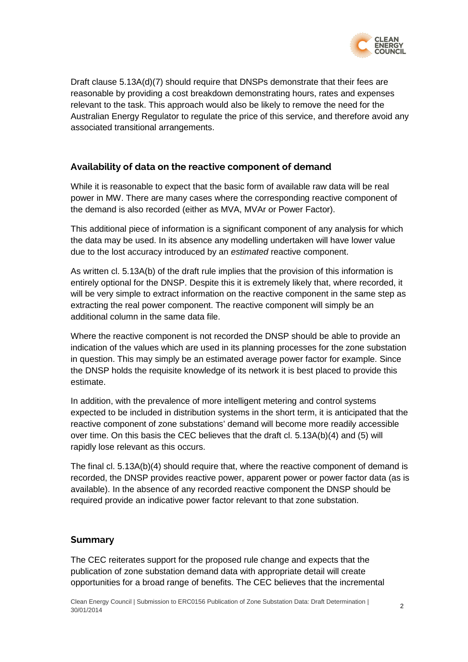

Draft clause 5.13A(d)(7) should require that DNSPs demonstrate that their fees are reasonable by providing a cost breakdown demonstrating hours, rates and expenses relevant to the task. This approach would also be likely to remove the need for the Australian Energy Regulator to regulate the price of this service, and therefore avoid any associated transitional arrangements.

## **Availability of data on the reactive component of demand**

While it is reasonable to expect that the basic form of available raw data will be real power in MW. There are many cases where the corresponding reactive component of the demand is also recorded (either as MVA, MVAr or Power Factor).

This additional piece of information is a significant component of any analysis for which the data may be used. In its absence any modelling undertaken will have lower value due to the lost accuracy introduced by an estimated reactive component.

As written cl. 5.13A(b) of the draft rule implies that the provision of this information is entirely optional for the DNSP. Despite this it is extremely likely that, where recorded, it will be very simple to extract information on the reactive component in the same step as extracting the real power component. The reactive component will simply be an additional column in the same data file.

Where the reactive component is not recorded the DNSP should be able to provide an indication of the values which are used in its planning processes for the zone substation in question. This may simply be an estimated average power factor for example. Since the DNSP holds the requisite knowledge of its network it is best placed to provide this estimate.

In addition, with the prevalence of more intelligent metering and control systems expected to be included in distribution systems in the short term, it is anticipated that the reactive component of zone substations' demand will become more readily accessible over time. On this basis the CEC believes that the draft cl. 5.13A(b)(4) and (5) will rapidly lose relevant as this occurs.

The final cl. 5.13A(b)(4) should require that, where the reactive component of demand is recorded, the DNSP provides reactive power, apparent power or power factor data (as is available). In the absence of any recorded reactive component the DNSP should be required provide an indicative power factor relevant to that zone substation.

## **Summary**

The CEC reiterates support for the proposed rule change and expects that the publication of zone substation demand data with appropriate detail will create opportunities for a broad range of benefits. The CEC believes that the incremental